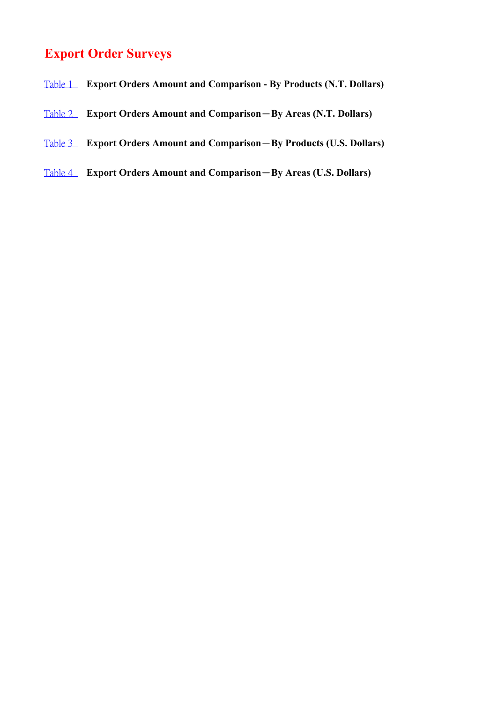## **Export Order Surveys**

- Table 1 **Export Orders Amount and Comparison By Products (N.T. Dollars)**
- Table 2 **Export Orders Amount and Comparison**-**By Areas (N.T. Dollars)**
- Table 3 **Export Orders Amount and Comparison**-**By Products (U.S. Dollars)**
- Table 4 **Export Orders Amount and Comparison**-**By Areas (U.S. Dollars)**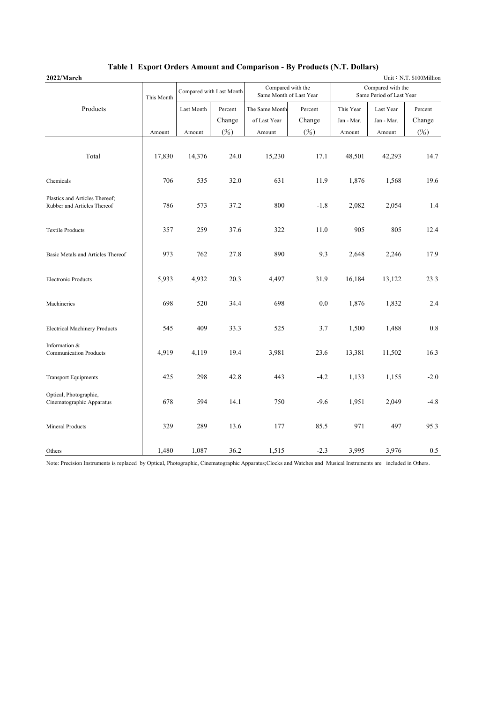| 2022/March                                                    |            |                          |        |                                              |         |                                               |            | Unit: N.T. \$100Million |
|---------------------------------------------------------------|------------|--------------------------|--------|----------------------------------------------|---------|-----------------------------------------------|------------|-------------------------|
|                                                               | This Month | Compared with Last Month |        | Compared with the<br>Same Month of Last Year |         | Compared with the<br>Same Period of Last Year |            |                         |
| Products                                                      |            | Last Month<br>Percent    |        | The Same Month                               | Percent | This Year                                     | Last Year  | Percent                 |
|                                                               |            |                          | Change | of Last Year                                 | Change  | Jan - Mar.                                    | Jan - Mar. | Change                  |
|                                                               | Amount     | Amount                   | (%)    | Amount                                       | (%)     | Amount                                        | Amount     | (%)                     |
| Total                                                         | 17,830     | 14,376                   | 24.0   | 15,230                                       | 17.1    | 48,501                                        | 42,293     | 14.7                    |
| Chemicals                                                     | 706        | 535                      | 32.0   | 631                                          | 11.9    | 1,876                                         | 1,568      | 19.6                    |
| Plastics and Articles Thereof;<br>Rubber and Articles Thereof | 786        | 573                      | 37.2   | 800                                          | $-1.8$  | 2,082                                         | 2,054      | 1.4                     |
| <b>Textile Products</b>                                       | 357        | 259                      | 37.6   | 322                                          | 11.0    | 905                                           | 805        | 12.4                    |
| Basic Metals and Articles Thereof                             | 973        | 762                      | 27.8   | 890                                          | 9.3     | 2,648                                         | 2,246      | 17.9                    |
| <b>Electronic Products</b>                                    | 5,933      | 4,932                    | 20.3   | 4,497                                        | 31.9    | 16,184                                        | 13,122     | 23.3                    |
| Machineries                                                   | 698        | 520                      | 34.4   | 698                                          | $0.0\,$ | 1,876                                         | 1,832      | 2.4                     |
| <b>Electrical Machinery Products</b>                          | 545        | 409                      | 33.3   | 525                                          | 3.7     | 1,500                                         | 1,488      | 0.8                     |
| Information &<br><b>Communication Products</b>                | 4,919      | 4,119                    | 19.4   | 3,981                                        | 23.6    | 13,381                                        | 11,502     | 16.3                    |
| <b>Transport Equipments</b>                                   | 425        | 298                      | 42.8   | 443                                          | $-4.2$  | 1,133                                         | 1,155      | $-2.0$                  |
| Optical, Photographic,<br>Cinematographic Apparatus           | 678        | 594                      | 14.1   | 750                                          | $-9.6$  | 1,951                                         | 2,049      | $-4.8$                  |
| Mineral Products                                              | 329        | 289                      | 13.6   | 177                                          | 85.5    | 971                                           | 497        | 95.3                    |
| Others                                                        | 1,480      | 1,087                    | 36.2   | 1,515                                        | $-2.3$  | 3,995                                         | 3,976      | 0.5                     |

## **Table 1 Export Orders Amount and Comparison - By Products (N.T. Dollars)**

Note: Precision Instruments is replaced by Optical, Photographic, Cinematographic Apparatus;Clocks and Watches and Musical Instruments are included in Others.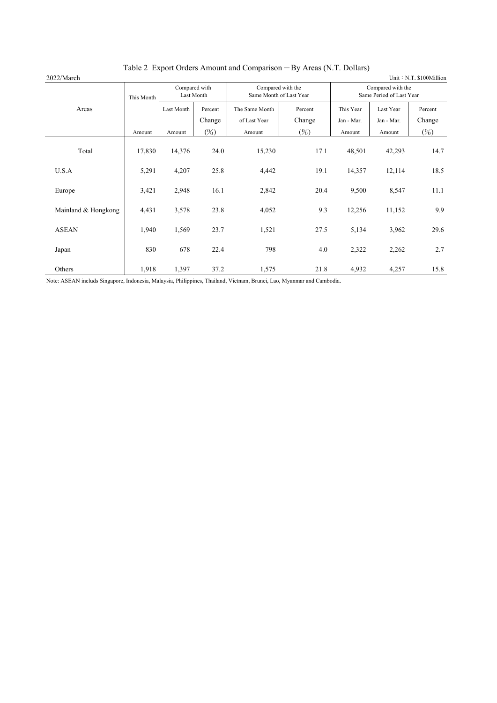| 2022/March          |            |                             |                   | Table 2 Export Orders Alliount and Comparison By Areas (19.1). Domais ( |                   |                                               |                         | Unit: N.T. \$100Million |
|---------------------|------------|-----------------------------|-------------------|-------------------------------------------------------------------------|-------------------|-----------------------------------------------|-------------------------|-------------------------|
|                     | This Month | Compared with<br>Last Month |                   | Compared with the<br>Same Month of Last Year                            |                   | Compared with the<br>Same Period of Last Year |                         |                         |
| Areas               |            | Last Month                  | Percent<br>Change | The Same Month<br>of Last Year                                          | Percent<br>Change | This Year<br>Jan - Mar.                       | Last Year<br>Jan - Mar. | Percent<br>Change       |
|                     | Amount     | Amount                      | (%)               | Amount                                                                  | $(\%)$            | Amount                                        | Amount                  | (%)                     |
| Total               | 17,830     | 14,376                      | 24.0              | 15,230                                                                  | 17.1              | 48,501                                        | 42,293                  | 14.7                    |
| U.S.A               | 5,291      | 4,207                       | 25.8              | 4,442                                                                   | 19.1              | 14,357                                        | 12,114                  | 18.5                    |
| Europe              | 3,421      | 2,948                       | 16.1              | 2,842                                                                   | 20.4              | 9,500                                         | 8,547                   | 11.1                    |
| Mainland & Hongkong | 4,431      | 3,578                       | 23.8              | 4,052                                                                   | 9.3               | 12,256                                        | 11,152                  | 9.9                     |
| <b>ASEAN</b>        | 1,940      | 1,569                       | 23.7              | 1,521                                                                   | 27.5              | 5,134                                         | 3,962                   | 29.6                    |
| Japan               | 830        | 678                         | 22.4              | 798                                                                     | 4.0               | 2,322                                         | 2,262                   | 2.7                     |
| Others              | 1,918      | 1,397                       | 37.2              | 1,575                                                                   | 21.8              | 4,932                                         | 4,257                   | 15.8                    |

## Table 2 Export Orders Amount and Comparison-By Areas (N.T. Dollars)

Note: ASEAN includs Singapore, Indonesia, Malaysia, Philippines, Thailand, Vietnam, Brunei, Lao, Myanmar and Cambodia.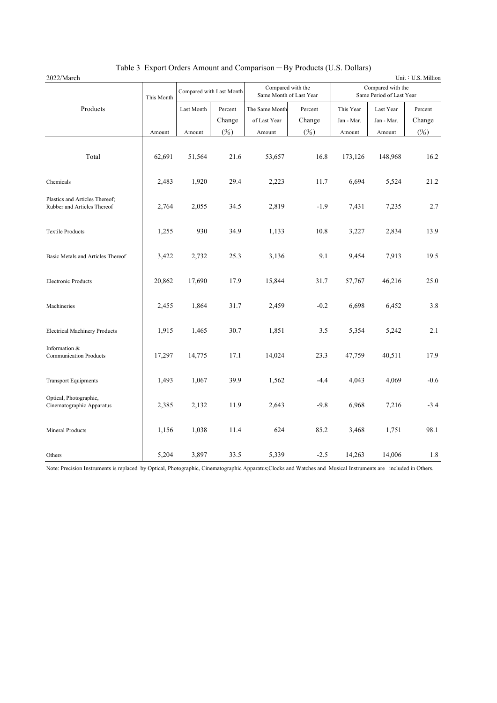|  |  | Table 3 Export Orders Amount and Comparison $-$ By Products (U.S. Dollars) |  |  |  |
|--|--|----------------------------------------------------------------------------|--|--|--|
|--|--|----------------------------------------------------------------------------|--|--|--|

| 2022/March                                                    |            |                          |        |                |                                              |                                               |            | Unit: U.S. Million |
|---------------------------------------------------------------|------------|--------------------------|--------|----------------|----------------------------------------------|-----------------------------------------------|------------|--------------------|
|                                                               | This Month | Compared with Last Month |        |                | Compared with the<br>Same Month of Last Year | Compared with the<br>Same Period of Last Year |            |                    |
| Products                                                      |            | Last Month<br>Percent    |        | The Same Month | Percent                                      | This Year                                     | Last Year  | Percent            |
|                                                               |            |                          | Change | of Last Year   | Change                                       | Jan - Mar.                                    | Jan - Mar. | Change             |
|                                                               | Amount     | Amount                   | (%)    | Amount         | (%)                                          | Amount                                        | Amount     | (%)                |
| Total                                                         | 62,691     | 51,564                   | 21.6   | 53,657         | 16.8                                         | 173,126                                       | 148,968    | 16.2               |
| Chemicals                                                     | 2,483      | 1,920                    | 29.4   | 2,223          | 11.7                                         | 6,694                                         | 5,524      | 21.2               |
| Plastics and Articles Thereof;<br>Rubber and Articles Thereof | 2,764      | 2,055                    | 34.5   | 2,819          | $-1.9$                                       | 7,431                                         | 7,235      | 2.7                |
| <b>Textile Products</b>                                       | 1,255      | 930                      | 34.9   | 1,133          | 10.8                                         | 3,227                                         | 2,834      | 13.9               |
| Basic Metals and Articles Thereof                             | 3,422      | 2,732                    | 25.3   | 3,136          | 9.1                                          | 9,454                                         | 7,913      | 19.5               |
| <b>Electronic Products</b>                                    | 20,862     | 17,690                   | 17.9   | 15,844         | 31.7                                         | 57,767                                        | 46,216     | 25.0               |
| Machineries                                                   | 2,455      | 1,864                    | 31.7   | 2,459          | $-0.2$                                       | 6,698                                         | 6,452      | 3.8                |
| <b>Electrical Machinery Products</b>                          | 1,915      | 1,465                    | 30.7   | 1,851          | 3.5                                          | 5,354                                         | 5,242      | 2.1                |
| Information &<br><b>Communication Products</b>                | 17,297     | 14,775                   | 17.1   | 14,024         | 23.3                                         | 47,759                                        | 40,511     | 17.9               |
| <b>Transport Equipments</b>                                   | 1,493      | 1,067                    | 39.9   | 1,562          | $-4.4$                                       | 4,043                                         | 4,069      | $-0.6$             |
| Optical, Photographic,<br>Cinematographic Apparatus           | 2,385      | 2,132                    | 11.9   | 2,643          | $-9.8$                                       | 6,968                                         | 7,216      | $-3.4$             |
| <b>Mineral Products</b>                                       | 1,156      | 1,038                    | 11.4   | 624            | 85.2                                         | 3,468                                         | 1,751      | 98.1               |
| Others                                                        | 5,204      | 3,897                    | 33.5   | 5,339          | $-2.5$                                       | 14,263                                        | 14,006     | 1.8                |

Note: Precision Instruments is replaced by Optical, Photographic, Cinematographic Apparatus;Clocks and Watches and Musical Instruments are included in Others.